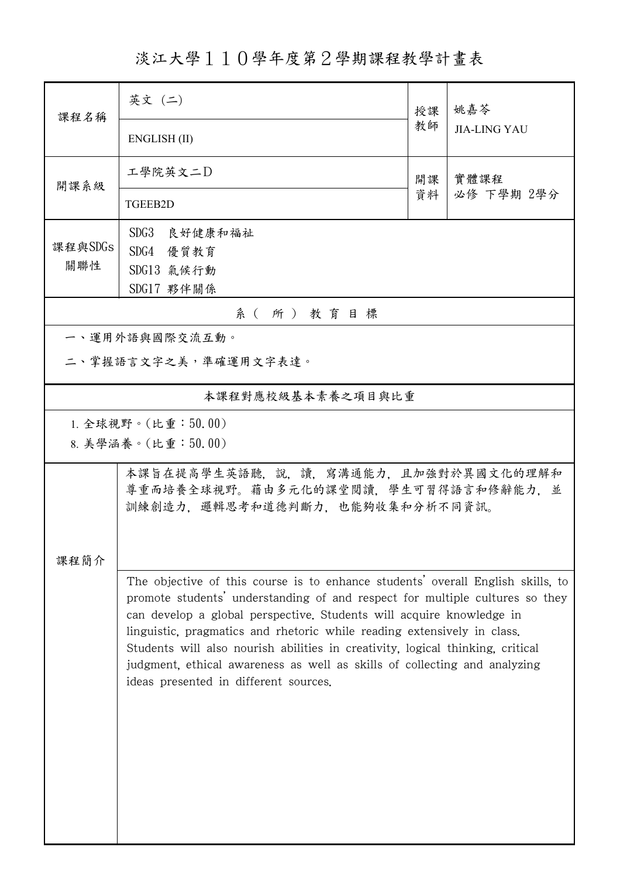淡江大學110學年度第2學期課程教學計畫表

|          | 英文 (二)                                                                                                                                                                                                                                                                                                                                                                                                                                                                                                                     | 授課       | 姚嘉苓                 |  |  |  |
|----------|----------------------------------------------------------------------------------------------------------------------------------------------------------------------------------------------------------------------------------------------------------------------------------------------------------------------------------------------------------------------------------------------------------------------------------------------------------------------------------------------------------------------------|----------|---------------------|--|--|--|
| 课程名稱     | ENGLISH (II)                                                                                                                                                                                                                                                                                                                                                                                                                                                                                                               | 教師       | <b>JIA-LING YAU</b> |  |  |  |
| 開課系級     | 工學院英文二D                                                                                                                                                                                                                                                                                                                                                                                                                                                                                                                    | 開課<br>資料 | 實體課程<br>必修 下學期 2學分  |  |  |  |
|          | TGEEB2D                                                                                                                                                                                                                                                                                                                                                                                                                                                                                                                    |          |                     |  |  |  |
| 課程與SDGs  | SDG3 良好健康和福祉                                                                                                                                                                                                                                                                                                                                                                                                                                                                                                               |          |                     |  |  |  |
| 關聯性      | SDG4 優質教育<br>SDG13 氯候行動                                                                                                                                                                                                                                                                                                                                                                                                                                                                                                    |          |                     |  |  |  |
|          | SDG17 夥伴關係                                                                                                                                                                                                                                                                                                                                                                                                                                                                                                                 |          |                     |  |  |  |
| 系(所)教育目標 |                                                                                                                                                                                                                                                                                                                                                                                                                                                                                                                            |          |                     |  |  |  |
|          | 一、運用外語與國際交流互動。                                                                                                                                                                                                                                                                                                                                                                                                                                                                                                             |          |                     |  |  |  |
|          | 二、掌握語言文字之美,準確運用文字表達。                                                                                                                                                                                                                                                                                                                                                                                                                                                                                                       |          |                     |  |  |  |
|          | 本課程對應校級基本素養之項目與比重                                                                                                                                                                                                                                                                                                                                                                                                                                                                                                          |          |                     |  |  |  |
|          | 1. 全球視野。(比重: $50.00$ )                                                                                                                                                                                                                                                                                                                                                                                                                                                                                                     |          |                     |  |  |  |
|          | 8. 美學涵養。(比重:50.00)                                                                                                                                                                                                                                                                                                                                                                                                                                                                                                         |          |                     |  |  |  |
|          | 本課旨在提高學生英語聽,說,讀,寫溝通能力,且加強對於異國文化的理解和<br>尊重而培養全球視野。藉由多元化的課堂閱讀,學生可習得語言和修辭能力,並<br>訓練創造力,邏輯思考和道德判斷力,也能夠收集和分析不同資訊。                                                                                                                                                                                                                                                                                                                                                                                                               |          |                     |  |  |  |
| 课程简介     |                                                                                                                                                                                                                                                                                                                                                                                                                                                                                                                            |          |                     |  |  |  |
|          | The objective of this course is to enhance students' overall English skills, to<br>promote students' understanding of and respect for multiple cultures so they<br>can develop a global perspective. Students will acquire knowledge in<br>linguistic, pragmatics and rhetoric while reading extensively in class.<br>Students will also nourish abilities in creativity, logical thinking, critical<br>judgment, ethical awareness as well as skills of collecting and analyzing<br>ideas presented in different sources. |          |                     |  |  |  |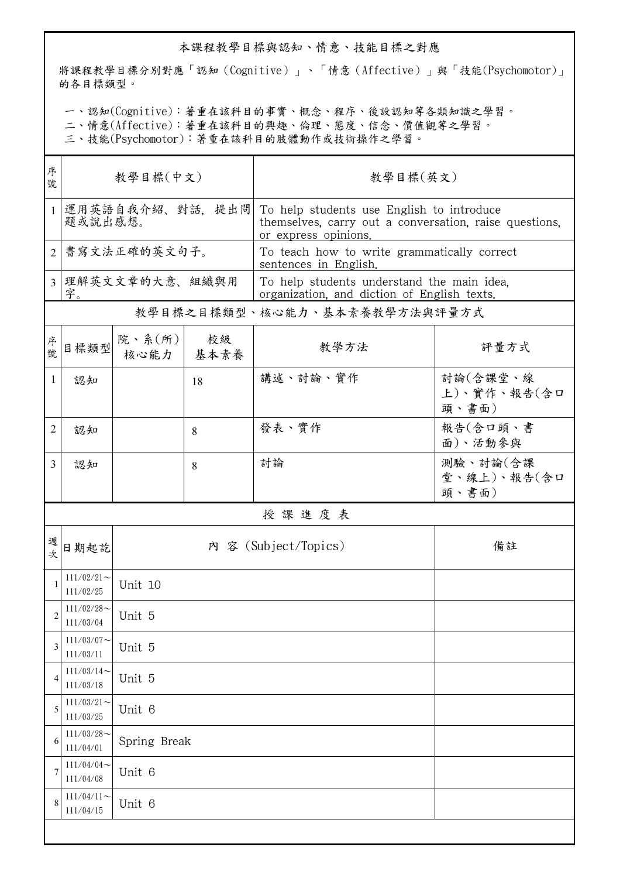## 本課程教學目標與認知、情意、技能目標之對應

將課程教學目標分別對應「認知(Cognitive)」、「情意(Affective)」與「技能(Psychomotor)」 的各目標類型。

一、認知(Cognitive):著重在該科目的事實、概念、程序、後設認知等各類知識之學習。

二、情意(Affective):著重在該科目的興趣、倫理、態度、信念、價值觀等之學習。

三、技能(Psychomotor):著重在該科目的肢體動作或技術操作之學習。

| 序<br>號                      | 教學目標(中文)                     |                               |    | 教學目標(英文)                                                                                                                    |                                  |  |  |
|-----------------------------|------------------------------|-------------------------------|----|-----------------------------------------------------------------------------------------------------------------------------|----------------------------------|--|--|
| $\mathbf{1}$                | 運用英語自我介紹、對話,提出問<br>題或說出感想。   |                               |    | To help students use English to introduce<br>themselves, carry out a conversation, raise questions,<br>or express opinions. |                                  |  |  |
| $\mathcal{D}_{\mathcal{L}}$ | 書寫文法正確的英文句子。                 |                               |    | To teach how to write grammatically correct<br>sentences in English.                                                        |                                  |  |  |
| $\overline{3}$              | 理解英文文章的大意、組織與用<br>字。         |                               |    | To help students understand the main idea.<br>organization, and diction of English texts.                                   |                                  |  |  |
|                             | 教學目標之目標類型、核心能力、基本素養教學方法與評量方式 |                               |    |                                                                                                                             |                                  |  |  |
| 序號                          | 日標類型                         | 院、系 $(\kappa)$<br>核心能力   基本素養 | 校級 | 教學方法                                                                                                                        | 評量方式                             |  |  |
| 1                           | 認知                           |                               | 18 | 講述、討論、實作                                                                                                                    | 討論(含課堂、線<br>上)、實作、報告(含口<br>頭、書面) |  |  |
| 2                           | 認知                           |                               | 8  | 發表、實作                                                                                                                       | 報告(含口頭、書<br>面)、活動參與              |  |  |
| $\overline{3}$              | 認知                           |                               | 8  | 討論                                                                                                                          | 測驗、討論(含課<br>堂、線上)、報告(含口<br>頭、書面) |  |  |
|                             |                              |                               |    | 授課進度表                                                                                                                       |                                  |  |  |
| 週<br>次                      | 日期起訖                         | 內 容 (Subject/Topics)          |    |                                                                                                                             | 備註                               |  |  |
| 1                           | $111/02/21$ ~<br>111/02/25   | Unit 10                       |    |                                                                                                                             |                                  |  |  |
| $\overline{2}$              | $111/02/28$ ~<br>111/03/04   | Unit 5                        |    |                                                                                                                             |                                  |  |  |
| 3                           | $111/03/07$ ~<br>111/03/11   | Unit 5                        |    |                                                                                                                             |                                  |  |  |
| 4                           | $111/03/14$ ~<br>111/03/18   | Unit 5                        |    |                                                                                                                             |                                  |  |  |
| 5                           | $111/03/21$ ~<br>111/03/25   | Unit 6                        |    |                                                                                                                             |                                  |  |  |
| 6                           | $111/03/28$ ~<br>111/04/01   | Spring Break                  |    |                                                                                                                             |                                  |  |  |
| 7                           | $111/04/04$ ~<br>111/04/08   | Unit 6                        |    |                                                                                                                             |                                  |  |  |
| 8                           | $111/04/11$ ~<br>111/04/15   | Unit 6                        |    |                                                                                                                             |                                  |  |  |
|                             |                              |                               |    |                                                                                                                             |                                  |  |  |